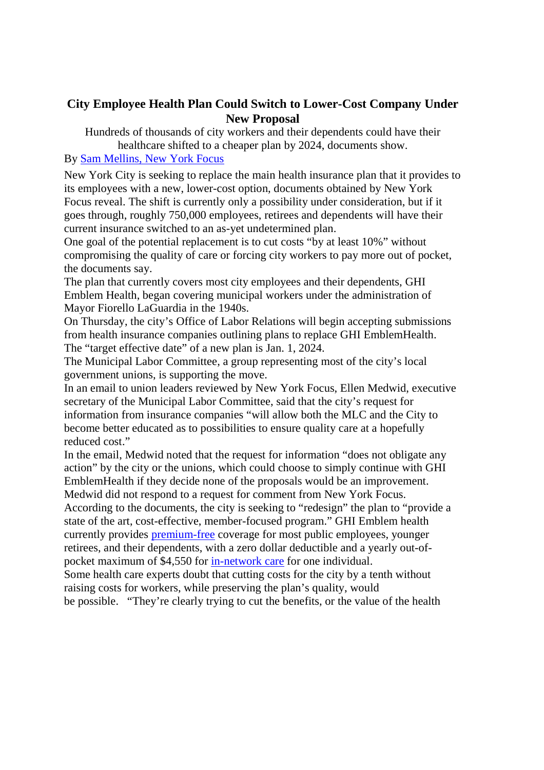## **City Employee Health Plan Could Switch to Lower-Cost Company Under New Proposal**

Hundreds of thousands of city workers and their dependents could have their healthcare shifted to a cheaper plan by 2024, documents show.

## By Sam Mellins, New York Focus

New York City is seeking to replace the main health insurance plan that it provides to its employees with a new, lower-cost option, documents obtained by New York Focus reveal. The shift is currently only a possibility under consideration, but if it goes through, roughly 750,000 employees, retirees and dependents will have their current insurance switched to an as-yet undetermined plan.

One goal of the potential replacement is to cut costs "by at least 10%" without compromising the quality of care or forcing city workers to pay more out of pocket, the documents say.

The plan that currently covers most city employees and their dependents, GHI Emblem Health, began covering municipal workers under the administration of Mayor Fiorello LaGuardia in the 1940s.

On Thursday, the city's Office of Labor Relations will begin accepting submissions from health insurance companies outlining plans to replace GHI EmblemHealth. The "target effective date" of a new plan is Jan. 1, 2024.

The Municipal Labor Committee, a group representing most of the city's local government unions, is supporting the move.

In an email to union leaders reviewed by New York Focus, Ellen Medwid, executive secretary of the Municipal Labor Committee, said that the city's request for information from insurance companies "will allow both the MLC and the City to become better educated as to possibilities to ensure quality care at a hopefully reduced cost."

In the email, Medwid noted that the request for information "does not obligate any action" by the city or the unions, which could choose to simply continue with GHI EmblemHealth if they decide none of the proposals would be an improvement. Medwid did not respond to a request for comment from New York Focus.

According to the documents, the city is seeking to "redesign" the plan to "provide a state of the art, cost-effective, member-focused program." GHI Emblem health currently provides premium-free coverage for most public employees, younger retirees, and their dependents, with a zero dollar deductible and a yearly out-ofpocket maximum of \$4,550 for in-network care for one individual.

Some health care experts doubt that cutting costs for the city by a tenth without raising costs for workers, while preserving the plan's quality, would be possible. "They're clearly trying to cut the benefits, or the value of the health